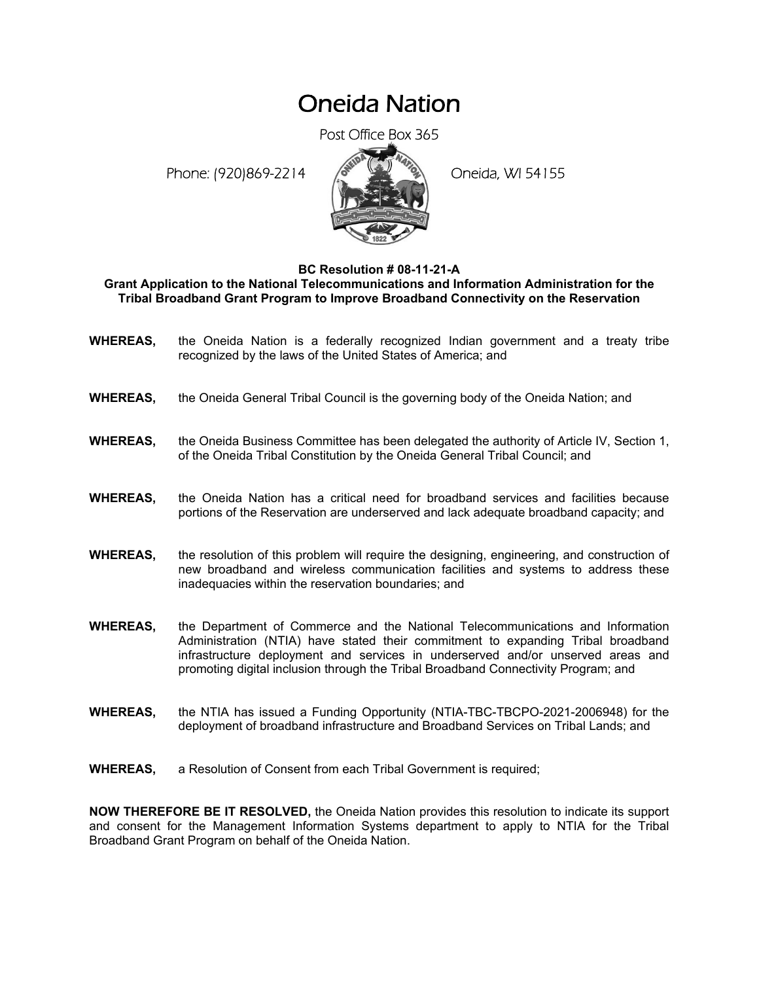## Oneida Nation

Post Office Box 365

Phone: (920)869-2214 (Oneida, WI 54155



## **BC Resolution # 08-11-21-A**

**Grant Application to the National Telecommunications and Information Administration for the Tribal Broadband Grant Program to Improve Broadband Connectivity on the Reservation** 

- **WHEREAS,** the Oneida Nation is a federally recognized Indian government and a treaty tribe recognized by the laws of the United States of America; and
- **WHEREAS,** the Oneida General Tribal Council is the governing body of the Oneida Nation; and
- **WHEREAS,** the Oneida Business Committee has been delegated the authority of Article IV, Section 1, of the Oneida Tribal Constitution by the Oneida General Tribal Council; and
- **WHEREAS,** the Oneida Nation has a critical need for broadband services and facilities because portions of the Reservation are underserved and lack adequate broadband capacity; and
- **WHEREAS,** the resolution of this problem will require the designing, engineering, and construction of new broadband and wireless communication facilities and systems to address these inadequacies within the reservation boundaries; and
- **WHEREAS,** the Department of Commerce and the National Telecommunications and Information Administration (NTIA) have stated their commitment to expanding Tribal broadband infrastructure deployment and services in underserved and/or unserved areas and promoting digital inclusion through the Tribal Broadband Connectivity Program; and
- **WHEREAS,** the NTIA has issued a Funding Opportunity (NTIA-TBC-TBCPO-2021-2006948) for the deployment of broadband infrastructure and Broadband Services on Tribal Lands; and
- **WHEREAS,** a Resolution of Consent from each Tribal Government is required;

**NOW THEREFORE BE IT RESOLVED,** the Oneida Nation provides this resolution to indicate its support and consent for the Management Information Systems department to apply to NTIA for the Tribal Broadband Grant Program on behalf of the Oneida Nation.